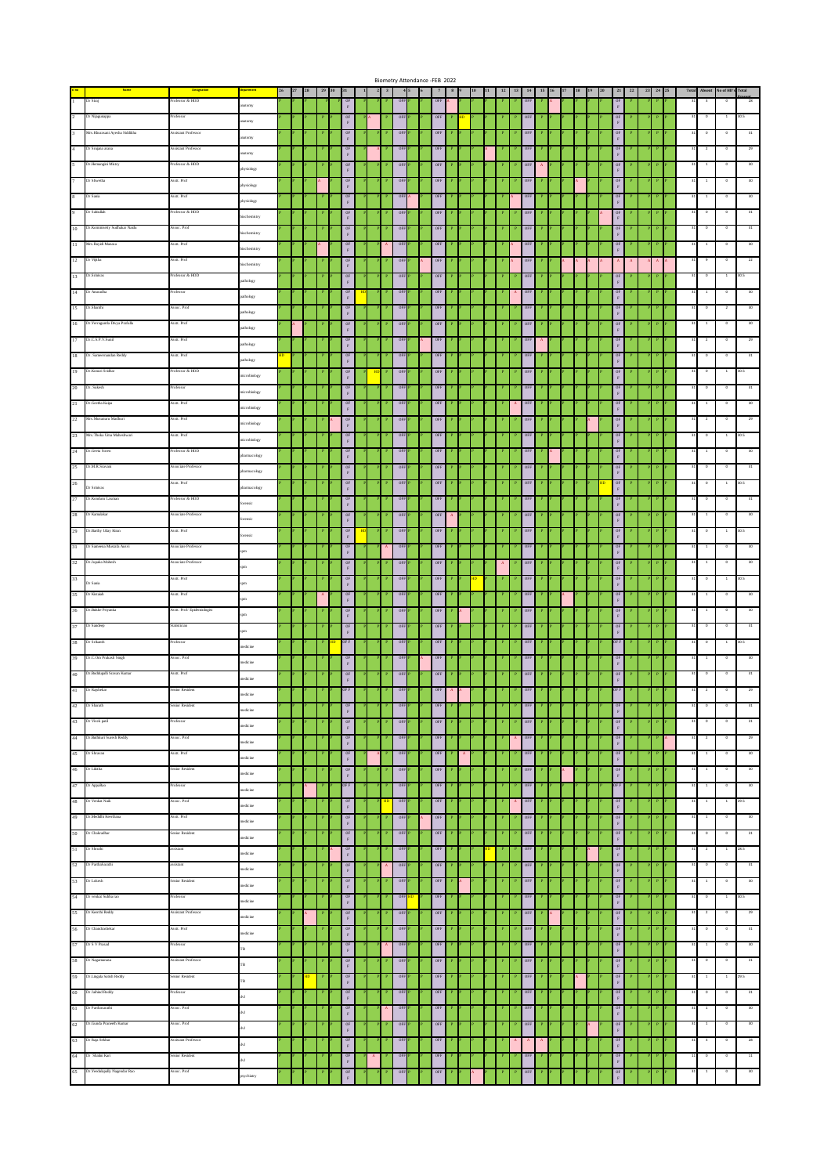|              |                                                                                              |                            |                     |  |             |                                                          |              |                              |                  |     | Biometry Attendance -FEB 2022 |                        |    |   |                                                                                           |                       |  |  |                                                          |              |             |                            |                          |                          |               |
|--------------|----------------------------------------------------------------------------------------------|----------------------------|---------------------|--|-------------|----------------------------------------------------------|--------------|------------------------------|------------------|-----|-------------------------------|------------------------|----|---|-------------------------------------------------------------------------------------------|-----------------------|--|--|----------------------------------------------------------|--------------|-------------|----------------------------|--------------------------|--------------------------|---------------|
|              |                                                                                              | Design<br>dessor & HOD     |                     |  |             |                                                          |              |                              |                  |     |                               |                        |    |   |                                                                                           |                       |  |  |                                                          |              |             |                            |                          |                          |               |
|              | k Siraj                                                                                      |                            | atomy               |  |             | OF<br>$\mathbf{F}$                                       |              |                              | OF               |     | OFF                           |                        |    |   |                                                                                           |                       |  |  |                                                          |              |             |                            |                          |                          |               |
| $\mathbf{r}$ | Dr Nijagunappa                                                                               | rofessor                   | atomy               |  |             | 0 <sub>F</sub><br>$\mathbf{F}$                           |              |                              | OFF              |     | <b>OFF</b>                    |                        |    |   | DFF                                                                                       |                       |  |  | $\mathbb F$                                              |              |             |                            |                          |                          |               |
|              | 3 Mrs. Khurasani Ayesha Siddikha                                                             | Assistant Professor        | atomy               |  |             | $\frac{\rm OF}{\rm F}$                                   |              |                              | OFF              |     | OFF                           |                        |    |   | $0\mathrm{FF}$                                                                            |                       |  |  | OF<br>$\mathbb F$                                        |              |             |                            |                          |                          |               |
|              | 4 Dr Srujana arana                                                                           | istant Professo            |                     |  |             | $0\mathrm{F}$                                            |              |                              | OF               |     | OFF                           |                        |    |   | OFF                                                                                       |                       |  |  | OF                                                       |              |             |                            |                          |                          |               |
|              | 5 Dr. Hemangini Mistry                                                                       | rofessor & HOD             | natomy              |  |             | $\mathbf{F}$<br>0F                                       |              |                              | OFF              |     | OFF                           |                        |    |   | OFF                                                                                       |                       |  |  | $\mathbb F$<br>OF                                        |              |             |                            |                          |                          |               |
|              |                                                                                              |                            | hysiology           |  |             | $\mathbf{F}$                                             |              |                              |                  |     |                               |                        |    |   |                                                                                           |                       |  |  | F                                                        |              |             |                            |                          |                          |               |
| Τ.           | Dr Shwetha                                                                                   | ssit. Prof                 | physiology          |  |             | OF<br>$\mathbf{F}$                                       |              |                              | OFF              |     | OFF                           |                        |    |   | <b>OFF</b>                                                                                |                       |  |  | OF<br>$_{\rm F}$                                         |              |             |                            |                          |                          |               |
| $^{\circ}$   | Dr Satia                                                                                     | Assit. Prof                | physiology          |  |             | $0\mathrm{F}$<br>$\mathbf{F}$                            |              |                              | OFF              |     | OFF                           |                        |    |   | OFF                                                                                       |                       |  |  | OF<br>$\mathbb F$                                        |              |             |                            |                          | $\circ$                  |               |
| 9 -          | Dr Sabiullah                                                                                 | Professor & HOD            | biochemistry        |  |             | $$\overset{\text{OF}}{F}$$                               |              |                              | OFF              |     | OFF                           |                        |    |   | $0\mathrm{FF}$                                                                            |                       |  |  | OF<br>$\mathbb F$                                        |              |             |                            | $\circ$                  | $^{\circ}$               |               |
|              | 10 Dr. Kommisetty Sudhakar Naid                                                              | ksoc. Pro                  |                     |  |             | 0 <sub>k</sub>                                           |              |                              | OFF              |     | OFF                           |                        |    |   | OFF                                                                                       |                       |  |  | OF                                                       |              |             |                            |                          |                          |               |
|              | 11 Mrs. Rayidi Manasa                                                                        | Assit. Prof                | biochemistry        |  |             | $\mathbb F$<br>0F                                        |              |                              | OFF              |     | OFF                           |                        |    |   | <b>OFF</b>                                                                                |                       |  |  | $_{\rm F}$<br>OF                                         |              |             |                            |                          |                          |               |
|              |                                                                                              |                            | iochemistry         |  |             | $\mathbf{F}$                                             |              |                              |                  |     |                               |                        |    |   |                                                                                           |                       |  |  | F                                                        |              |             |                            |                          |                          |               |
| 12           | Dr Vijiha                                                                                    | ssit. Prof                 | <b>biochemistry</b> |  |             | OF<br>$\mathbf{F}$                                       |              |                              | OFF              |     | OFF                           |                        |    |   | OFF                                                                                       |                       |  |  |                                                          |              |             |                            |                          |                          |               |
|              | 13 Dr. Srinivas                                                                              | Professor & HOD            | uthology            |  |             | $0\mathrm{F}$<br>$\mathbf{F}$                            |              |                              | OFF              |     | OFF                           |                        |    |   | $0\mathrm{t}\mathrm{t}$                                                                   |                       |  |  | $\mathbb F$                                              |              |             |                            |                          | $\overline{1}$           |               |
|              | 14 Dr Anuradha                                                                               | rofessor                   | uthology            |  |             | $$\overset{\text{OF}}{F}$$                               |              |                              | OFF              |     | OFF                           |                        |    |   | $0\mathrm{FF}$                                                                            |                       |  |  | OF                                                       |              |             |                            |                          |                          |               |
|              | 15 Dr. Shanthi                                                                               | Assoc. Prof                |                     |  |             | 0F                                                       |              |                              | OF               |     | OFF                           |                        |    |   | OFF                                                                                       |                       |  |  | $\mathbb F$<br>OF                                        |              |             |                            |                          |                          |               |
|              |                                                                                              | Assit. Prof                | pathology           |  |             | $\mathbf{F}$                                             |              |                              |                  |     |                               |                        |    |   |                                                                                           |                       |  |  | $\mathbb F$                                              |              |             |                            |                          |                          |               |
|              | 16 Dr. Yerraguntla Divya Prafulla                                                            |                            | uthology            |  |             | $_{\rm F}^{\rm OF}$                                      |              |                              | OFF              |     | $0FF$                         |                        |    |   | OFF                                                                                       |                       |  |  | $0\mathrm{F}$<br>F                                       |              |             |                            |                          |                          |               |
|              | 17 Dr.C.S.P.V.Sunil                                                                          | ssit. Prof                 | pathology           |  |             | OF<br>$\mathbf{F}$                                       |              |                              | OFF              |     | OFF                           |                        |    |   | <b>OFF</b>                                                                                |                       |  |  | OF<br>$_{\rm F}$                                         |              |             |                            |                          |                          |               |
|              | 18 Dr. Sameernandan Reddy                                                                    | Asstt. Prof                | pathology           |  |             | $0\mathrm{F}$<br>F                                       |              |                              | OFF              |     | OFF                           |                        |    |   | OFF                                                                                       |                       |  |  | $0\mathrm{F}$<br>$\mathbb F$                             |              |             |                            |                          | $\circ$                  | 31            |
|              | 19 Dr. Konuri Sridhar                                                                        | Professor & HOD            |                     |  |             | $$\overset{\text{OF}}{F}$$                               | HD           |                              | OFF              |     | OFF                           |                        |    |   | OFF                                                                                       |                       |  |  | $\frac{\text{OF}}{\text{F}}$                             |              |             |                            | $\circ$                  | $\mathbf{1}$             | 30.5          |
|              | 20 Dr. Sukesh                                                                                | rofessor                   | nicrobiology        |  |             | 0F                                                       |              |                              | OF               |     | OFF                           |                        |    |   | OFF                                                                                       |                       |  |  | OF                                                       |              |             |                            | $\circ$                  | $\circ$                  | 31            |
|              |                                                                                              |                            | nicrobiology        |  |             | $\mathbb F$                                              |              |                              |                  |     |                               |                        |    |   |                                                                                           |                       |  |  | $\bar{\mathrm{F}}$                                       |              |             |                            |                          |                          |               |
|              | 21 Dr. Geetha Kaipa                                                                          | Assit. Prof                | nicrobiology        |  |             | $_{\rm F}^{\rm OF}$                                      |              |                              | OFF              |     | $0\mathrm{FF}$                |                        |    |   | OFF                                                                                       |                       |  |  | $0\mathrm{F}$<br>$\mathbf F$                             |              |             |                            |                          | $^{\circ}$               |               |
| $22 -$       | Mrs. Musunuru Madhuri                                                                        | ssit. Prof                 | nicrobiology        |  |             | OF<br>$\mathbf{F}$                                       |              |                              | OFF              |     | OFF                           |                        |    |   | OFF                                                                                       |                       |  |  | OF<br>$_{\rm F}$                                         |              |             |                            |                          |                          |               |
|              | 23 Mrs. Thoka Uma Maheshwari                                                                 | Assit. Prof                | nicrobiology        |  |             | $0\mathrm{F}$<br>$\mathbf{F}$                            |              |                              | OFF              |     | OFF                           |                        |    |   | OFF                                                                                       |                       |  |  | 0 <sub>k</sub><br>$\mathbb F$                            |              |             |                            |                          |                          |               |
|              | 24 Dr. Geeta Soren                                                                           | rofessor & HOD             |                     |  |             | 0F                                                       |              |                              | OFF              |     | <b>OFF</b>                    |                        |    |   | OFF                                                                                       |                       |  |  | OF                                                       |              |             |                            |                          |                          |               |
|              | 25 Dr.M.R.Sravani                                                                            | essociate Professor        | harmacology         |  |             | $\mathbf{F}$<br>$0\mathrm{F}$                            |              |                              | OF               |     | OFF                           |                        |    |   | OFF                                                                                       |                       |  |  | $\mathbb F$<br>OF                                        |              |             |                            |                          |                          |               |
|              |                                                                                              |                            | pharmacology        |  |             | $\mathbf{F}$                                             |              |                              |                  |     |                               |                        |    |   |                                                                                           |                       |  |  | $\mathbb F$                                              |              |             |                            |                          |                          |               |
|              | $\frac{26}{\text{Dr}$ Srinivas                                                               | Asstt. Prof                | harmacology         |  |             | $0\mathrm{F}$<br>$\mathbf F$                             |              |                              | OFF              |     | $0FF$                         |                        |    |   | OFF                                                                                       |                       |  |  | $0\mathrm{F}$<br>$\mathbb F$                             |              |             |                            |                          |                          |               |
| 27           | Dr.Konduru Laxm                                                                              | ofessor & HOD              | orensic             |  |             | OF<br>$\mathbf{F}$                                       |              |                              | OFF              |     | OFF                           |                        |    |   | OFF                                                                                       |                       |  |  | OF<br>$_{\rm F}$                                         |              |             |                            |                          |                          |               |
|              | 28 Dr Kamalakar                                                                              | Associate Professor        | rensic              |  |             | $0\mathrm{F}$                                            |              |                              | OFF              |     | OFF                           |                        |    |   | OFF                                                                                       |                       |  |  | OF                                                       |              |             |                            |                          |                          |               |
|              | 29 Dr. Barthy Uday Kiran                                                                     | ksitt. Prof                |                     |  |             | $\mathbf{F}$<br>0F                                       |              |                              | OFF              |     | OFF                           |                        |    |   | OFF                                                                                       |                       |  |  | $\mathbb F$<br>OF                                        |              |             |                            |                          |                          |               |
|              |                                                                                              |                            | rensic              |  |             | $\mathbf{F}$                                             |              |                              |                  |     |                               |                        |    |   |                                                                                           |                       |  |  | $\mathbb F$                                              |              |             |                            |                          |                          |               |
|              | 31 Dr Sameena Mustafa Ausvi                                                                  | Associate Professor        |                     |  |             | 0F<br>$\mathbb F$                                        |              |                              | OFF              |     | OFF                           |                        |    |   | OFF                                                                                       |                       |  |  | OF                                                       |              |             |                            |                          | $\circ$                  |               |
|              | 32 Dr.Jupaka Mahesh                                                                          | essociate Professor        |                     |  |             | $_{\rm F}^{\rm OF}$                                      |              |                              | OFF              |     | $0\mathrm{FF}$                |                        |    |   | OFF                                                                                       |                       |  |  | $0\mathrm{F}$<br>$\mathbf F$                             |              |             |                            |                          |                          |               |
|              | $\begin{array}{ c c } \hline 33 & \multicolumn{1}{ }{\text{Dv Samia}} \\ \hline \end{array}$ | Assit. Prof                |                     |  |             | OF<br>$\mathbf{F}$                                       |              |                              | OFF              |     | OFF                           |                        |    |   | OFF                                                                                       |                       |  |  | OF<br>$_{\rm F}$                                         |              |             |                            |                          | $\overline{1}$           | 30.5          |
|              | 35 Dr Kistaiah                                                                               | Asstt. Prof                |                     |  |             | $\frac{\text{OF}}{\text{F}}$                             |              |                              | OFF              |     | $0\mathrm{FF}$                |                        |    |   | OFF                                                                                       |                       |  |  | $\begin{array}{c} \mathsf{OF} \\ \mathsf{F} \end{array}$ |              |             |                            |                          |                          |               |
|              | 36 Dr. Bakke Priyanka                                                                        | Asstt. Prof/Epidemiologist |                     |  |             | 0F                                                       |              |                              | OFF              |     | <b>OFF</b>                    |                        |    |   | OFF                                                                                       |                       |  |  | OF                                                       |              |             |                            |                          |                          |               |
|              |                                                                                              |                            |                     |  |             | $\mathbf{F}$                                             |              |                              |                  |     |                               |                        |    |   |                                                                                           |                       |  |  | $\mathbb F$                                              |              |             |                            |                          |                          |               |
|              | 37 Dr Sandeep                                                                                | Statistician               |                     |  |             | $0\mathrm{F}$<br>$\mathbf{F}$                            |              |                              | OF               |     | OFF                           |                        |    |   |                                                                                           |                       |  |  |                                                          |              |             |                            |                          |                          |               |
|              | 38 Dr Srikanth                                                                               | rofessor                   | tedicine            |  |             | OF F                                                     |              |                              | OFF              |     | OFF                           |                        |    |   | OFF                                                                                       |                       |  |  |                                                          |              |             |                            |                          |                          |               |
|              | 39 Dr.C.Om Prakash Singh                                                                     | Assoc. Prof                | tedicine            |  |             | $0\mathrm{F}$<br>$\mathbf F$                             |              |                              | OF               |     | OFF                           |                        |    |   | OFF                                                                                       |                       |  |  | OF<br>$\mathbb F$                                        |              |             |                            |                          |                          |               |
|              | 40 Dr. Boddupalli Sravan Kumar                                                               | Asstt. Prof                |                     |  |             | $0\mathrm{F}$                                            |              |                              | OF               |     | OFF                           |                        |    |   | OFF                                                                                       |                       |  |  | OF                                                       |              |             |                            |                          |                          |               |
|              |                                                                                              | enior Residen              | edicine             |  |             | $\mathbb F$<br>DF F                                      |              |                              | OFF              |     | OFF                           |                        |    |   |                                                                                           |                       |  |  |                                                          |              |             |                            |                          |                          |               |
|              | 41 Dr Rajshekar                                                                              |                            | edicine             |  |             |                                                          |              |                              |                  |     |                               |                        |    |   | OFF                                                                                       |                       |  |  |                                                          |              |             |                            |                          |                          |               |
|              | 42 Dr Sharath                                                                                | Senior Resident            | medicine            |  |             | $0F$<br>$F$                                              |              | P                            | OFF <sub>P</sub> |     | 0FF                           |                        |    |   | P<br>OFF                                                                                  |                       |  |  | $\begin{array}{c} \mathsf{OF} \\ \mathsf{F} \end{array}$ | P            |             | 31                         | $\circ$                  | $\overline{\phantom{a}}$ | 31            |
|              | 43 Dr Vivek pati                                                                             | Professor                  | $n$ edicine         |  |             | $\begin{array}{c} \texttt{OF}\\ \texttt{F} \end{array}$  |              | $\vert \mathbf{P} \vert$     | OFF              |     | 0FF                           |                        |    |   | OFF                                                                                       |                       |  |  | $$\mathsf{OF}$$ F                                        |              |             |                            | $\overline{\phantom{a}}$ | $\overline{\phantom{a}}$ | 31            |
|              | 44 Dr. Bathkuri Suresh Reddy                                                                 | Assoc. Prof                | $\rm$               |  |             | $$\rm \,e$$                                              |              |                              | OFF              |     | OFF                           |                        |    |   | $A$ OFF                                                                                   |                       |  |  | $$\mathbb{P}$$                                           |              |             | $_{34}$                    | $\overline{2}$           | $\circ$                  | 29            |
|              | 45 Dr Shravan                                                                                | Assit. Prof                |                     |  |             |                                                          |              |                              | OFF              |     | OFF                           | $\mathbf{A}_\parallel$ |    |   | $0FF$<br>P                                                                                |                       |  |  |                                                          |              |             |                            | $\overline{1}$           | $\circ$                  | 30            |
|              |                                                                                              | Senior Resident            | $\rm medicine$      |  |             | $$\mathsf{OF}$$ F                                        |              |                              | OFF              |     |                               |                        |    |   |                                                                                           |                       |  |  | $$\mathbb{P}$$                                           |              |             |                            |                          | $\circ$                  | 30            |
|              | $46$ Dr Likitha                                                                              |                            | $\rm medicine$      |  |             | 0E<br>$\mathbf{F}$                                       |              |                              |                  |     | OFF                           |                        |    |   | OFF                                                                                       |                       |  |  | $$\mathbb{P}$$                                           |              |             |                            |                          |                          |               |
|              | 47 Dr AppaRao                                                                                | Professor                  | medicine            |  |             | OF F                                                     |              |                              | OFF              |     | OFF                           |                        |    |   | OFF                                                                                       |                       |  |  | OF F                                                     |              |             |                            | $\overline{1}$           | $\overline{\phantom{0}}$ | 30            |
|              | 48 Dr Venkar Naik                                                                            | Assoc. Prof                | $\rm medicine$      |  |             | 0 <sub>k</sub><br>$\mathbf{F}$                           |              | HD                           | OFF              |     | 0FF                           |                        |    |   | OFF<br>$\mid$ A                                                                           |                       |  |  | $$\overset{\circ}{\text{F}}$$                            |              |             |                            |                          | $1 - 29.5$               |               |
|              | 49 Dr. Medidhi Keerthana                                                                     | Assit. Prof                | medicine            |  |             | $\begin{array}{c} \text{OF} \\ \text{F} \end{array}$     |              |                              | OFF              |     | OFF                           |                        |    |   | OFF                                                                                       |                       |  |  | $$\mathbb{P}$$                                           |              |             | $34\,$                     | $\overline{1}$           | $\circ$                  | 30            |
|              | $50$ Dr Chakradhar                                                                           | Senior Resident            |                     |  |             |                                                          |              | $\,$ P                       | OFF              |     | $0FF$                         |                        |    |   | $\tt OFF$                                                                                 |                       |  |  |                                                          |              |             |                            | $\circ$                  | $\circ$                  | 31            |
|              |                                                                                              |                            | $\rm medicine$      |  |             | $\frac{\text{OF}}{\text{F}}$                             |              |                              |                  |     |                               |                        | HD | P | $\mathbf{P}$                                                                              |                       |  |  | $$\mathsf{OF}$$ F                                        |              |             | 31                         |                          |                          |               |
|              | $51$ Dr Shruthi                                                                              | assistant                  | $\rm medicine$      |  |             | $\frac{\text{OF}}{\text{F}}$                             |              | $\mathbf P$                  | OFF              |     | OFF P                         |                        |    |   | OEE                                                                                       |                       |  |  | $$\mathbb{F}$$                                           |              |             |                            | $\overline{2}$           | 128.5                    |               |
|              | 52 Dr ParthaSarathi                                                                          | assistant                  | medicine            |  |             | 0F<br>$\mathbf{F}$                                       |              | $\mathbf{A}$                 | OFF              |     | OFF                           |                        |    |   | OFF                                                                                       |                       |  |  | 0 <sub>k</sub><br>$_{\rm F}$                             |              |             |                            | $\circ$                  | $\bullet$                | 31            |
|              | 53 Dr Lokesh                                                                                 | Senior Resident            | $n$ edicine         |  |             | $\begin{array}{c} \texttt{OF}\\ \texttt{F} \end{array}$  |              | $\mathbf{P}_\parallel$       | OFF              |     | $OFF$ $P$                     |                        |    |   | OFF                                                                                       |                       |  |  | $$\mathsf{OF}$$ F                                        |              |             |                            | $\overline{1}$           | $\bullet$                | 30            |
|              | $54$ Dr venkat Subba rao                                                                     | Professor                  | nedicine            |  |             | $\begin{array}{c} \text{OF} \\ \text{F} \end{array}$     |              | $\mathbf P$                  | OFF              | ID. | OFF                           |                        |    |   | $0\mathrm{t}\mathrm{t}$                                                                   |                       |  |  | $$\mathbb{P}$$                                           |              |             | 31                         | $\circ$                  | 1 30.5                   |               |
|              | 55 Dr Keerthi Reddy                                                                          | Assistant Professor        |                     |  |             |                                                          |              | $\,$ P                       | OFF              |     | $0FF$                         |                        |    |   | $\tt OFF$                                                                                 |                       |  |  |                                                          |              |             |                            | $\overline{2}$           | $\circ$                  | 29            |
|              |                                                                                              |                            | $\rm medicine$      |  |             | $$\mathsf{OF}$$ F                                        |              |                              |                  |     |                               |                        |    |   |                                                                                           |                       |  |  | $$\mathbb{P}$$                                           |              |             |                            |                          |                          |               |
|              | $56 \qquad \text{Dr Chandrashekar}$                                                          | Assit. Prof                | $\rm medicine$      |  |             | $\begin{array}{c} \tt{OF} \\ \tt{F} \end{array}$         |              |                              | OFF              |     | OLL                           |                        |    |   | OEE                                                                                       |                       |  |  | $$\mathbb{P}$$                                           |              |             |                            | $\mathbf 0$              | $\circ$                  | 31            |
|              | 57 Dr S V Prasad                                                                             | rofessor                   | TВ                  |  |             | $$\mathsf{OF}$$ F                                        |              | $\mathbf{A}$                 | OFF              |     | OFF                           |                        |    |   | OFF                                                                                       |                       |  |  | $$\rm \,eV$$                                             |              |             |                            | $\overline{\mathbf{1}}$  | $\circ$                  | 30            |
|              | 58 Dr Nagamanasa                                                                             | <b>Assistant Professor</b> | TВ                  |  |             | $\begin{array}{c} \texttt{OF}\\ \texttt{F} \end{array}$  |              |                              | OFF              |     | OFF                           |                        |    |   | OFF                                                                                       |                       |  |  | $\begin{array}{c} \texttt{OF}\\ \texttt{F} \end{array}$  |              |             |                            | $\circ$                  | $\overline{\phantom{a}}$ | 31            |
|              | $59$ Dr.<br>Lingala Satish Reddy                                                             | Senior Resident            |                     |  |             |                                                          |              |                              | OFF              |     | OFF                           |                        |    |   | OFF                                                                                       |                       |  |  |                                                          |              |             | 31                         | $\overline{1}$           | 1 29.5                   |               |
|              |                                                                                              | Professor                  | TB                  |  |             | $$\rm \,e$$                                              |              |                              |                  |     |                               |                        |    |   |                                                                                           |                       |  |  | $$\mathbb{P}$$                                           |              |             | 31                         |                          |                          |               |
|              | 60 Dr Jaihind Reddy                                                                          |                            | dv1                 |  |             | $0\mathrm{F}$<br>$\mathbf{F}$                            |              | $\,$ P                       | OFF              |     | OFF                           |                        |    |   | ${\sf OFF}$<br>P                                                                          | P                     |  |  | $$\mathbb{P}$$                                           |              |             |                            | $\circ$                  | $\bullet$                | 31            |
|              | $61 \qquad \text{Dr~Parthas arathi}$                                                         | Assoc. Prof                | dvl                 |  |             | $\frac{\text{OF}}{\text{F}}$                             |              | $\langle \mathbf{A} \rangle$ | OFF              |     | OFF P                         |                        |    |   | O <sub>EE</sub><br>$\mathbb{P}$                                                           | $\mathbb{P}$          |  |  | $$\mathbb{F}$$                                           | $\mathbf{P}$ | P           | 31                         | $\,$ 1 $\,$              | $\circ$                  | 30            |
|              | 62 Dr. Gunda Praneeth Kumar                                                                  | Assoc. Prof                | dvl                 |  | $\mathbf P$ | $\begin{array}{c} \mathsf{OF} \\ \mathsf{F} \end{array}$ |              | $\mathbb P$                  | OFF              |     | $OFF$ $P$                     |                        |    |   | $\,$ P                                                                                    | ${\tt OFF} = {\tt P}$ |  |  | $$\rm \,eV$$                                             |              | $\mathbb P$ |                            | $\mathbf{1}$             | $\circ$                  | 30            |
|              | 63 Dr Raja Sekhar                                                                            | Assistant Professor        | dv1                 |  |             | $\begin{array}{c} \texttt{OF}\\ \texttt{F} \end{array}$  |              | $\vert \mathbf{P} \vert$     | OFF              |     | $OFF$ $P$                     |                        |    |   | $\left\  \mathbf{A} \right\  = \left\  \mathbf{A} \right\  = \left\  \mathbf{A} \right\ $ |                       |  |  | $$\mathsf{OF}$$ F                                        |              |             |                            |                          | $\overline{\ }$          | <sup>28</sup> |
|              | 64 Dr Shahni Kari                                                                            | Senior Resident            |                     |  |             |                                                          | $\mathbf{A}$ |                              | OFF              |     | OFF                           |                        |    |   | $_{\rm OEF}$                                                                              |                       |  |  |                                                          |              |             | $\overline{1}\overline{1}$ | $\circ$                  | $\sim$                   | 11            |
|              |                                                                                              |                            | dvl                 |  |             | $$\rm \,e$$                                              |              |                              |                  |     |                               |                        |    |   |                                                                                           |                       |  |  | $$\mathbb{P}$$                                           |              |             |                            |                          |                          |               |
|              | $65$ Dr. Yeedula<br>pally Nagendar Rao $\,$                                                  | Assoc. Prof                | psychiatry          |  |             | $0\mathrm{F}$<br>$\mathrm{F}$                            |              |                              | OFF              |     | $0\mathrm{FF}$                |                        |    |   | $0\mathrm{FE}$                                                                            |                       |  |  | $$\overset{\text{OF}}{F}$$                               |              |             |                            | $\overline{1}$           | $\circ$                  | 30            |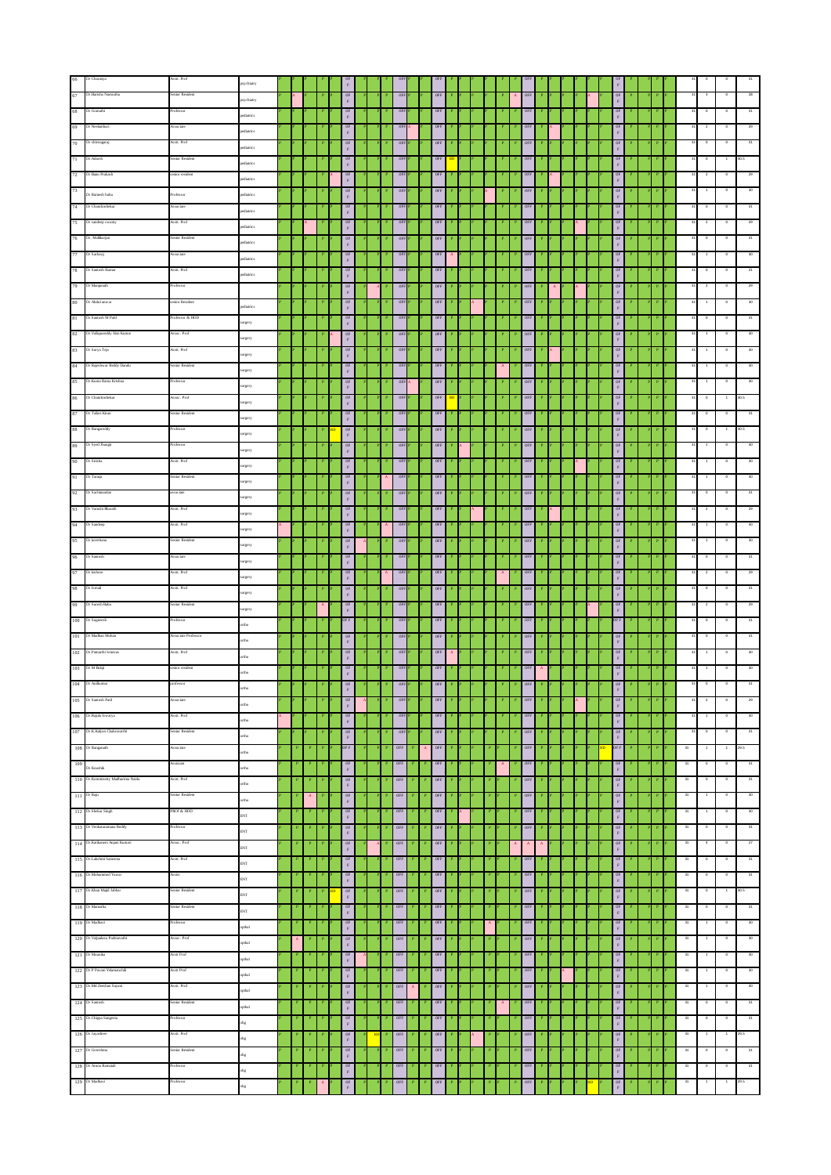|     | 66 Dr Charanya                                                       | sstt. Prof        | psychiatry                     |   |              |              |                                                                                          |    |                           |                |                      |                           |                      |  |  |              |                         |              |  |  |                                                               |  |   |    |                           |                          |         |
|-----|----------------------------------------------------------------------|-------------------|--------------------------------|---|--------------|--------------|------------------------------------------------------------------------------------------|----|---------------------------|----------------|----------------------|---------------------------|----------------------|--|--|--------------|-------------------------|--------------|--|--|---------------------------------------------------------------|--|---|----|---------------------------|--------------------------|---------|
|     | 67 Dr. Harisha Nameatha                                              | enior Resident    | psychiatry                     |   |              |              | $_{\rm F}^{\rm OF}$                                                                      |    |                           |                |                      |                           |                      |  |  |              | $0\mathrm{FE}$          |              |  |  |                                                               |  |   |    |                           |                          |         |
|     | 68 Dr Gomathi                                                        |                   |                                |   |              |              | OF                                                                                       |    |                           | OFF            |                      |                           | OFF                  |  |  |              | OFF                     |              |  |  |                                                               |  |   |    |                           |                          |         |
|     | 69 Dr Neelambari                                                     | <b>Associate</b>  | pediatrics                     |   |              |              | $\mathbf{F}$                                                                             |    |                           | OFF            |                      |                           | 0FF                  |  |  |              | OFF                     |              |  |  | $\mathbb F$                                                   |  |   |    | $\mathbf{2}$              |                          |         |
|     |                                                                      |                   | ediatrics                      |   |              |              | $_{\rm F}^{\rm OF}$                                                                      |    |                           |                |                      |                           |                      |  |  |              |                         |              |  |  | $_{\rm L}^{\rm 0E}$                                           |  |   |    |                           |                          |         |
|     | 70 Dr shivnagaraj                                                    | Assit. Prof       | pediatrics                     |   |              |              | $$\mathbb{F}$$                                                                           |    |                           | OFF            |                      |                           | OFF                  |  |  |              | $P$ OFF                 |              |  |  | $$\mathbb{F}$$                                                |  |   |    |                           |                          |         |
|     | 71 Dr. Adarsh                                                        | Senior Resident   | pediatrics                     |   |              |              | $0F$ $F$                                                                                 |    |                           | OFF            |                      |                           | 0FF                  |  |  |              | OFF                     |              |  |  | $\frac{\text{OF}}{\text{F}}$                                  |  |   |    | $\circ$                   | $\overline{1}$           |         |
|     | 72 Dr Banu Prakash                                                   | enior resident    | ediatrics                      |   |              |              | $\frac{\rm OF}{\rm F}$                                                                   |    |                           | OFF            |                      |                           | $0\mathrm{FF}$       |  |  |              | $_{\rm OFF}$            |              |  |  | $\frac{\text{OF}}{\text{F}}$                                  |  |   |    |                           |                          |         |
|     | $\frac{73}{2}$ Dr Ramesh babu                                        | Professor         | pediatrics                     |   |              |              | $$\mathsf{OF}$$ F                                                                        |    |                           | OFF            |                      |                           | OFF                  |  |  |              | ${\tt OFF}$             |              |  |  | $\frac{\text{OF}}{\text{F}}$                                  |  |   |    |                           |                          |         |
|     | 74 Dr Chandrashekar                                                  | Associate         | ediatrics                      |   |              |              | $$\mathsf{OF}$$ F                                                                        |    |                           | OFF            |                      |                           | OFF                  |  |  |              | OFF                     |              |  |  | $\frac{\text{OF}}{\text{F}}$                                  |  |   |    |                           |                          |         |
|     | 75 Dr sandeep swamy                                                  | Assit. Prof       |                                |   |              |              | $$\overset{\text{\normalsize{0}}{\phantom{}_{\text{\normalsize{F}}}}\phantom{}}$$        |    |                           | OFF            |                      |                           | OFF                  |  |  |              | OEE                     |              |  |  | $\frac{\text{OF}}{\text{F}}$                                  |  |   |    |                           |                          |         |
|     | 76 Dr. Malikarjun                                                    | Senior Resident   | ediatrics                      |   |              |              | 0F                                                                                       |    |                           |                |                      |                           |                      |  |  |              | OFF                     |              |  |  |                                                               |  |   |    |                           |                          |         |
|     |                                                                      | asociate          | pediatrics                     |   |              |              | $\mathbf{F}$                                                                             |    |                           |                |                      |                           |                      |  |  |              |                         |              |  |  |                                                               |  |   |    |                           |                          |         |
|     | 77 Dr Sarfaraj                                                       |                   | ediatrics                      |   |              |              | $_{\rm F}^{\rm OF}$                                                                      |    |                           | OFF            |                      |                           | OFF                  |  |  |              | $0\mathrm{FF}$          |              |  |  | $\frac{\text{OF}}{\text{F}}$                                  |  |   |    |                           |                          |         |
|     | 78 Dr Santosh Kumar                                                  | Assit. Prof       | pediatrics                     |   |              |              | OF<br>$\mathbf{F}$                                                                       |    |                           | OFF            |                      |                           | OFF                  |  |  |              | OFF                     |              |  |  | $\mathbb F$                                                   |  |   |    |                           |                          |         |
|     | 79 Dr Manjunath                                                      | rofessor          |                                |   |              |              | $0\mathrm{E}$                                                                            |    |                           | OFF            |                      |                           | $0\mathrm{FF}$       |  |  |              | OFF                     |              |  |  | $\frac{\mathsf{OF}}{\mathsf{F}}$                              |  |   |    | $\overline{2}$            |                          | 29      |
|     | $80$ Dr Abdul anwar                                                  | enior Resident    | pediatrics                     |   |              |              | $$\mathbb{F}$$                                                                           |    |                           | OFF            |                      |                           | OFF                  |  |  |              | $P$ OFF                 |              |  |  | $\frac{\text{OF}}{\text{F}}$                                  |  |   |    |                           |                          |         |
|     | 81 Dr. Santosh M Patil                                               | rofessor & HOD    | surgery                        |   |              |              | $\begin{array}{c} \mathsf{OF} \\ \mathsf{F} \end{array}$                                 |    |                           | OFF            |                      |                           | 0FF                  |  |  |              | $0FF$                   |              |  |  | $$\mathbb{P}$$                                                |  |   |    | $\circ$                   |                          |         |
|     | 82 Dr. Vallapureddy Hari Kumar                                       | Assoc. Prof       |                                |   |              |              | $0\mathrm{F}$ $\mathrm{F}$                                                               |    |                           | OFF            |                      |                           | $0\mathrm{FF}$       |  |  |              | $_{\rm OFF}$            |              |  |  | $\frac{\text{OF}}{\text{F}}$                                  |  |   |    |                           |                          |         |
|     | 83 Dr Surya Teja                                                     | Asstt. Prof       | urgery                         |   |              |              |                                                                                          |    |                           | OFF            |                      |                           | OFF                  |  |  |              |                         |              |  |  |                                                               |  |   |    |                           |                          |         |
|     |                                                                      |                   | urgery                         |   |              |              | $$\mathsf{OF}$$ F                                                                        |    |                           |                |                      |                           |                      |  |  |              | $0\mathrm{FF}$          |              |  |  | $\frac{\text{OF}}{\text{F}}$                                  |  |   |    |                           |                          |         |
|     | 84 Dr Rajeshwar Reddy Dandu                                          | Senior Resident   | surgery                        |   |              |              | $0\mathrm{E}$                                                                            |    |                           | OFF            |                      |                           | $0\mathrm{FF}$       |  |  |              | OFF                     |              |  |  | $\begin{array}{c} \text{OF} \\ \text{F} \end{array}$          |  |   |    |                           |                          |         |
|     | 85 Dr. Kunta Rama Krishna                                            | rofessor          | urgery                         |   |              |              | $\begin{array}{c} \mathsf{OF} \\ \mathsf{F} \end{array}$                                 |    |                           | OFF            |                      |                           | OFF                  |  |  |              | OLE                     |              |  |  | $_{\rm F}^{\rm OF}$                                           |  |   |    |                           |                          |         |
|     | 86 Dr Chandrashekar                                                  | asoc. Prof        | surgery                        |   |              |              | 0F<br>$\mathbf{F}$                                                                       |    |                           | OFF            |                      |                           | OFF                  |  |  |              | OFF                     |              |  |  | $\mathbb F$                                                   |  |   |    |                           |                          |         |
|     | 87 Dr Tallari Kiran                                                  | tior Residen      | surgery                        |   |              |              | $0\mathrm{F}$<br>$\mathbf{F}$                                                            |    |                           |                |                      |                           | OFF                  |  |  |              | OFF                     |              |  |  | $\frac{\text{OF}}{\text{F}}$                                  |  |   |    |                           |                          |         |
|     | 88 Dr Rangareddy                                                     | rofessor          |                                |   |              |              | OF                                                                                       |    |                           | OFF            |                      |                           | OFF                  |  |  |              | OFF                     |              |  |  |                                                               |  |   |    |                           |                          |         |
|     | 89 Dr Syed Jhangir                                                   | rofessor          | urgery                         |   |              |              | $\mathbf{F}$<br>$\frac{\text{OF}}{\text{F}}$                                             |    |                           | OFF            |                      |                           | $0\mathrm{FF}$       |  |  |              | OFF                     |              |  |  | $_{\rm F}$                                                    |  |   |    | $\overline{1}$            |                          |         |
|     | $90$ Dr Sirisha                                                      | Assit. Prof       | surgery                        |   |              |              |                                                                                          |    |                           | OFF            |                      |                           | OFF                  |  |  |              | $P$ OFF                 |              |  |  | $\frac{\text{OF}}{\text{F}}$                                  |  |   |    |                           |                          |         |
|     | 91 Dr Tanuja                                                         | enior Resident    | urgery                         |   |              |              | $$\mathbb{F}$$                                                                           |    |                           |                |                      |                           | OFF                  |  |  |              | OFF                     |              |  |  | $$\mathbb{F}$$                                                |  |   |    |                           |                          |         |
|     |                                                                      |                   | urgery                         |   |              |              | $\begin{array}{c} \tt OF \\ \tt F \end{array}$                                           |    |                           | OFF            |                      |                           |                      |  |  |              |                         |              |  |  | $\frac{\text{OF}}{\text{F}}$                                  |  |   |    |                           |                          |         |
|     | 92 Dr Sachinandan                                                    | sociate           | urgery                         |   |              |              | $\begin{array}{c} \mathsf{OF} \\ \mathsf{F} \end{array}$                                 |    |                           | OFF            |                      |                           | OFF                  |  |  |              | OEE                     |              |  |  | $_{\rm L}^{\rm 0E}$                                           |  |   |    |                           |                          |         |
|     | 93 Dr Vanshi Bharath                                                 | Asstt. Prof       | urgery                         |   |              |              | $$\mathsf{OF}$$ F                                                                        |    |                           | OFF            |                      |                           | OFF                  |  |  |              | $0\mathrm{FF}$          |              |  |  | $\frac{\text{OF}}{\text{F}}$                                  |  |   |    | $\overline{z}$            |                          |         |
|     | 94 Dr Sandeep                                                        | Assit. Prof       | urgery                         |   |              |              | $$\overset{\text{OF}}{F}$$                                                               |    | $\langle {\bf A} \rangle$ | OFF            |                      |                           | $0\mathrm{FF}$       |  |  |              | OFF                     |              |  |  | $\begin{array}{c} \text{OF} \\ \text{F} \end{array}$          |  |   |    |                           |                          |         |
|     | 95 Dr keerthana                                                      | Senior Resident   | urgery                         |   |              |              | $$\overset{\text{\normalsize{0}}{\phantom{}_{\text{\normalsize{F}}}}}}$                  |    |                           | OFF            |                      |                           | OFF                  |  |  |              | OLE                     |              |  |  | $0\mathrm{F}$<br>$\mathbf{F}$                                 |  |   |    |                           |                          |         |
|     | 96 Dr Santosh                                                        |                   |                                |   |              |              | OF                                                                                       |    |                           |                |                      |                           |                      |  |  |              | OFF                     |              |  |  |                                                               |  |   |    |                           |                          |         |
|     | 97 Dr kishore                                                        | Assitt. Prof      | surgery                        |   |              |              | $\mathbf{F}$                                                                             |    |                           |                |                      |                           |                      |  |  |              | OFF                     |              |  |  |                                                               |  |   |    |                           |                          |         |
|     |                                                                      |                   | surgery                        |   |              |              | $_{\rm F}^{\rm OF}$                                                                      |    |                           |                |                      |                           |                      |  |  |              | OFF                     |              |  |  | $\frac{\text{OF}}{\text{F}}$                                  |  |   |    | $\circ$                   |                          |         |
|     |                                                                      |                   |                                |   |              |              |                                                                                          |    |                           |                |                      |                           |                      |  |  |              |                         |              |  |  |                                                               |  |   |    |                           |                          |         |
|     | 98 Dr Ismail                                                         | Assit. Prof       | urgery                         |   |              |              | OF<br>$\mathbf{F}$                                                                       |    |                           | OFF            |                      |                           | OFF                  |  |  |              |                         |              |  |  | $_{\rm F}$                                                    |  |   |    |                           |                          | 31      |
|     | 99 Dr Suresh Babu                                                    | Senior Resident   | urgery                         |   |              |              | $\begin{array}{c} \tt OF \\ \tt F \end{array}$                                           |    |                           | OFF            |                      |                           | $0\mathrm{FF}$       |  |  |              | OFF                     |              |  |  | $\frac{\rm OF}{\rm F}$                                        |  |   |    | $\overline{2}$            |                          | 29      |
|     | 100 Dr Sugneesh                                                      | Professor         | ctho                           |   |              |              | OF F                                                                                     |    |                           | OFF            |                      |                           | OFF                  |  |  |              | $P$ OFF                 |              |  |  | OF F                                                          |  |   |    |                           |                          |         |
|     | 101 Dr Madhan Mohar                                                  | sociate Professor | cdn                            |   |              |              |                                                                                          |    |                           | OFF            |                      |                           | OFF                  |  |  |              | $0\mathrm{FE}$          |              |  |  | $\frac{\text{OF}}{\text{F}}$                                  |  |   |    |                           |                          |         |
|     | 102 Dr. Pamarthi Srinivas                                            | Assit. Prof       | cetho                          |   |              |              | $$\mathsf{OF}$$ F                                                                        |    |                           | OFF            |                      |                           | OFF                  |  |  |              | $0\mathrm{t}\mathrm{t}$ |              |  |  |                                                               |  |   |    |                           |                          |         |
|     | 103 Dr M Balaji                                                      | enior resident    |                                |   |              |              | $$\mathsf{OF}$$ F<br>OF                                                                  |    |                           | OFF            |                      |                           | OFF                  |  |  |              | OFF                     |              |  |  | $_{\rm F}^{\rm OF}$                                           |  |   |    |                           |                          |         |
|     |                                                                      | rofessor          | ctho                           |   |              |              | $\mathbf{F}$                                                                             |    |                           | OFF            |                      |                           | $0\mathrm{FF}$       |  |  |              |                         |              |  |  | $\frac{\text{OF}}{\text{F}}$                                  |  |   |    |                           |                          |         |
|     | 104 Dr Anikumar                                                      |                   |                                |   |              |              | $\frac{\rm OF}{\rm F}$                                                                   |    |                           |                |                      |                           |                      |  |  |              | $0\mathrm{FE}$          |              |  |  |                                                               |  |   |    |                           |                          |         |
| 105 |                                                                      |                   |                                |   |              |              | $\mathbf F$                                                                              |    |                           |                |                      |                           |                      |  |  |              |                         |              |  |  | $\mathbb F$                                                   |  |   |    |                           |                          |         |
|     | 106 Dr.Rajula Iswarya                                                | Assit. Prof       | ortho                          |   |              |              | $$\rm{0F}$$                                                                              |    |                           | OFF            |                      |                           | OFF                  |  |  |              | OFF                     |              |  |  | $\frac{\text{OF}}{\text{F}}$                                  |  |   |    |                           |                          | 30      |
|     | 107 Dr. K Kalyan Chakravarthi                                        | Senior Resident   | $_{\rm ortho}$                 |   |              |              | 0 <sub>k</sub><br>$\mathbf{F}$                                                           |    |                           | OFF            |                      |                           | OFF                  |  |  |              | $0\mathrm{FE}$          |              |  |  | $0\mathrm{F}$<br>$\mathbb F$                                  |  |   |    |                           |                          | 31      |
|     | 108 Dr Ranganath                                                     | Associate         | $_{\rm ortho}$                 |   |              |              | OF F                                                                                     |    |                           | OFF            |                      |                           | OFF                  |  |  |              | OFF                     |              |  |  | OF F                                                          |  |   | 31 | $\overline{1}$            | $\overline{1}$           | 29.5    |
|     |                                                                      | sistant           | $_{\rm ortho}$                 |   |              |              | 0F<br>$_{\rm F}$                                                                         |    |                           | OFF            |                      |                           | OFF                  |  |  |              | OFF                     |              |  |  | $0\mathrm{F}$<br>$_{\rm F}$                                   |  |   | 31 |                           |                          | 31      |
|     | $$\frac{109}{\rm{D}}$$ Koushik<br>110 Dr. Kommisetty Madhurima Naidu | Asstt. Prof       | ortho                          |   |              |              | 0E<br>$\mathbf{F}$                                                                       |    |                           | OFF            |                      | $\mathbf{P}_\perp$        | OFF                  |  |  |              | $0\mathrm{t}\mathrm{t}$ |              |  |  | OF                                                            |  |   | 31 | $\overline{\mathfrak{o}}$ | $\overline{\phantom{a}}$ | 31      |
|     | 111 Dr Raju                                                          | Senior Resident   |                                |   | $\mathbf{A}$ |              |                                                                                          |    |                           | OFF            |                      | $\mathbf P$               | OFF                  |  |  |              | $0\mathrm{FF}$          |              |  |  | $\mathbb F$                                                   |  |   | 31 | $\overline{1}$            | $\circ$                  | 30      |
|     | 112 Dr. Shekar Singh                                                 | PROf & HOD        | ortho                          |   |              |              | $$\overset{\text{\normalsize{0}}{\text{\normalsize{F}}}}$$<br>0F                         |    |                           | 0FF            |                      |                           | 0FF                  |  |  |              | $0\mathrm{t}\mathrm{t}$ |              |  |  | $$\mathbb{R}$$                                                |  |   | 31 | $\,$ 1 $\,$               | $\circ$                  | 30      |
|     | 113 Dr Venkataramana Reddy                                           | Professor         | ENT                            |   |              |              | $\mathbf{F}$<br>OF                                                                       |    |                           | OFF            |                      | $\mathbf{P}$              | OFF                  |  |  |              | OFF                     |              |  |  | $\begin{array}{c} \texttt{OF}\\ \texttt{F} \end{array}$<br>OF |  |   | 31 | $\circ$                   | $\circ$                  | 31      |
|     |                                                                      |                   | ENT                            |   |              |              | $\mathbf{F}$                                                                             |    |                           |                |                      |                           |                      |  |  |              |                         |              |  |  | $_{\rm F}$                                                    |  |   |    |                           |                          |         |
|     | 114 Dr. Katikaneni Anjani Kumari                                     | Assoc. Prof       | ENT                            |   |              |              | 0F<br>$\mathbf{F}$                                                                       |    |                           | OFF            |                      | $\mathbf{P}$              | OFF                  |  |  | $\mathbf{A}$ | $\mathbf{A}$            |              |  |  | OF<br>$_{\rm F}$                                              |  |   | 31 |                           |                          | $^{27}$ |
|     | 115 Dr. Lakshmi Sameena                                              | Assit. Prof       | ENT                            |   |              |              | $$\overset{\text{\normalsize{0}}{\phantom{}_{\text{\normalsize{F}}}}\phantom{}}$$        |    |                           | OFF            |                      | $\mathbf{P}$              | OFF                  |  |  |              | $0\mathrm{t}\mathrm{t}$ |              |  |  | OF<br>$\mathbb F$                                             |  |   | 31 |                           | $\circ$                  | 31      |
|     | 116 Dr. Mohammed Yawar                                               | Assist            | ENT                            |   |              |              | $$\mathsf{OF}$$ F                                                                        |    |                           | OFF            |                      | $\mathbf P$               | OFF                  |  |  |              | OFF                     |              |  |  | $_{\rm F}$ or                                                 |  |   | 31 | $\circ$                   | $\circ$                  | 31      |
|     | 117 Dr. Khan Majid Jabbar                                            | Senior Resident   | ENT                            |   |              |              | $0F$ $F$                                                                                 |    |                           | OFF            |                      |                           | 0FF                  |  |  |              | $0FF$                   |              |  |  | $\frac{\text{OF}}{\text{F}}$                                  |  |   | 31 | $\,$ 0                    | $\overline{1}$           | 30.5    |
|     | 118 Dr Mamatha                                                       | Senior Resident   | ENT                            |   |              |              | 0F                                                                                       |    |                           | OFF            |                      |                           | OFF                  |  |  |              | OFF                     |              |  |  | OF                                                            |  |   | 31 | $\circ$                   | $\circ$                  | 31      |
|     | 119 Dr Madhavi                                                       | ofessor           |                                |   |              |              | $\mathbf{F}$<br>0F                                                                       |    |                           | <b>OFF</b>     |                      | $\mathbf{P}$              | OFF                  |  |  |              | OFF                     |              |  |  | $\mathbb F$<br>OF                                             |  |   | 31 |                           |                          | 30      |
|     | 120 Dr. Valpadasu Padmavathi                                         | Assoc. Prof       | opthal                         | A |              |              | $\mathbf{F}$                                                                             |    |                           | OFF            |                      |                           | $\mathbf{b} = 0$ OEE |  |  |              | OFF                     |              |  |  | $_{\rm F}$<br>OF                                              |  |   | 31 | $\overline{1}$            | $\overline{\phantom{a}}$ | 30      |
|     |                                                                      |                   | opthal                         |   |              | $\mathbf{P}$ | $$\mathbb{F}$$                                                                           |    |                           |                |                      |                           |                      |  |  |              |                         | $\mathbf{P}$ |  |  | $\mathbb F$                                                   |  |   | 31 |                           | $\overline{\phantom{0}}$ |         |
|     | 121 Dr Mounka                                                        | Assit Prof        | opthal                         |   |              |              | $$\mathsf{OF}$$ F                                                                        |    |                           | $0\mathrm{FE}$ |                      | $\langle {\bf P} \rangle$ | OFF                  |  |  |              | $0\mathrm{FF}$          |              |  |  | $$\mathbb{P}$$                                                |  |   |    | $\overline{1}$            |                          | 30      |
|     | 122 Dr P Pavani Yelamanchii                                          | Assit Prof        | opthal                         |   |              |              | 0F<br>$\mathbf{F}$                                                                       |    |                           | OFF            |                      |                           | <b>OEE</b>           |  |  |              | $0\mathrm{t}\mathrm{t}$ |              |  |  | $\begin{array}{c} \texttt{OF}\\ \texttt{F} \end{array}$       |  |   | 31 | $\overline{1}$            | $\overline{\phantom{a}}$ | 30      |
|     | 123 Dr. Md Zeeshan Sayani                                            | Assit. Prof       | opthal                         |   |              | $\mathbf{P}$ | $\frac{\text{OF}}{\text{F}}$                                                             |    |                           | $0FF$          | $\mathbf{A}_{\perp}$ | $\mid \mathbf{P} \mid$    | OFF                  |  |  |              | $0\mathrm{FE}$          |              |  |  | $$\mathbb{R}$$                                                |  | P | 31 | $\overline{1}$            | $\circ$                  | 30      |
|     | 124 Dr Santosh                                                       | Senior Resident   | ladoo                          |   |              |              | 0F<br>$\mathbf{F}$                                                                       |    |                           | OFF            |                      | $\mathbf{P}$              | OFF                  |  |  |              | $0\mathrm{t}\mathrm{t}$ |              |  |  | $0\mathrm{F}$<br>$_{\rm F}$                                   |  |   | 31 |                           |                          | 31      |
|     | $125\;$ Dr.<br>Chippa Sangeeta                                       | Professor         | $_{\rm obs}$                   |   |              |              |                                                                                          |    |                           | OFF            |                      | $\mathbf P$               | OFF                  |  |  |              | $_{\rm OLE}$            |              |  |  | OF<br>$\mathbb F$                                             |  |   | 31 | $\circ$                   | $\circ$                  | 31      |
|     | $126\,$ Dr Jayashree                                                 | Assit. Prof       | obg                            |   |              |              | $$\overset{\text{\normalsize{0}}{\phantom{}_{\text{\normalsize{F}}}}}}$<br>$0\mathrm{F}$ | HD |                           | OFF            |                      | $\mathbf P$               | OFF                  |  |  |              | OFF                     |              |  |  | OF                                                            |  |   | 31 | $\overline{1}$            | $\overline{1}$           | 29.5    |
|     | 127 Dr Greeshma                                                      | Senior Resident   |                                |   |              |              | $\mathbf{F}$<br>0 <sub>k</sub>                                                           |    |                           | OFF            |                      |                           | OFF                  |  |  |              | OFF                     |              |  |  | $_{\rm F}$                                                    |  |   | 31 | $\mathbf 0$               | $\circ$                  | 31      |
|     | 128 Dr Aruna Ramaiah                                                 | rofessor          | $_{\rm{obs}}$                  |   |              |              | $\mathbf{F}$                                                                             |    |                           | OFF            |                      |                           | OFF                  |  |  |              | OFF                     |              |  |  | $$\rm \,e$$<br>$O\mathrm{F}$                                  |  |   | 31 | $\circ$                   |                          | 31      |
|     | 129 Dr Madhavi                                                       | rofessor          | $_{\rm{obs}}$<br>$_{\rm{obs}}$ |   |              |              | $0\mathrm{F}$ $\mathrm{F}$<br>$_{\rm L}$ or                                              |    |                           | OFF            |                      |                           | 0FF                  |  |  |              | OFF                     |              |  |  | $_{\rm F}$<br>OF                                              |  |   | 31 |                           |                          | 29.5    |